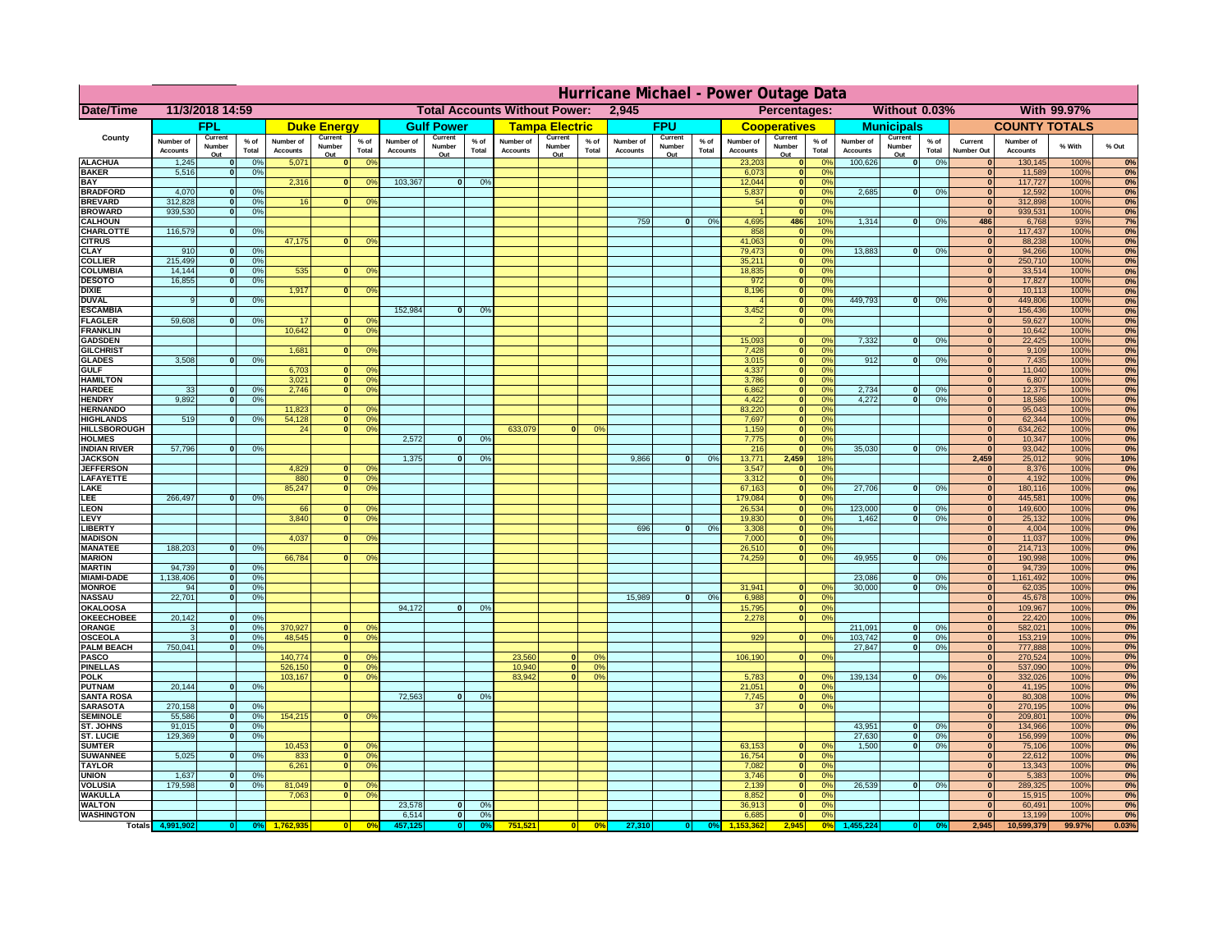|                                      | Hurricane Michael - Power Outage Data |                          |                 |                              |                          |                                                                    |                                               |                          |                 |                              |                          |                                              |                              |                          |               |                              |                          |                               |                              |                                  |               |                                  |                              |              |          |
|--------------------------------------|---------------------------------------|--------------------------|-----------------|------------------------------|--------------------------|--------------------------------------------------------------------|-----------------------------------------------|--------------------------|-----------------|------------------------------|--------------------------|----------------------------------------------|------------------------------|--------------------------|---------------|------------------------------|--------------------------|-------------------------------|------------------------------|----------------------------------|---------------|----------------------------------|------------------------------|--------------|----------|
| Date/Time                            | 11/3/2018 14:59                       |                          |                 |                              |                          |                                                                    | <b>Total Accounts Without Power:</b><br>2,945 |                          |                 |                              |                          | Without 0.03%<br>With 99.97%<br>Percentages: |                              |                          |               |                              |                          |                               |                              |                                  |               |                                  |                              |              |          |
|                                      |                                       | <b>FPL</b>               |                 |                              | <b>Duke Energy</b>       |                                                                    |                                               | <b>Gulf Power</b>        |                 |                              | <b>Tampa Electric</b>    |                                              |                              | <b>FPU</b>               |               |                              | <b>Cooperatives</b>      |                               |                              | <b>Municipals</b>                |               |                                  | <b>COUNTY TOTALS</b>         |              |          |
| County                               | Number of<br><b>Accounts</b>          | Current<br>Number<br>Out | $%$ of<br>Total | Number of<br><b>Accounts</b> | Current<br>Number<br>Out | $%$ of<br>Total                                                    | Number of<br><b>Accounts</b>                  | Current<br>Number<br>Out | $%$ of<br>Total | Number of<br><b>Accounts</b> | Current<br>Number<br>Out | $%$ of<br>Total                              | Number of<br><b>Accounts</b> | Current<br>Number<br>Out | % of<br>Total | Number of<br><b>Accounts</b> | Current<br>Number<br>Out | $%$ of<br>Total               | Number of<br><b>Accounts</b> | Current<br>Number<br>Out         | % of<br>Total | Current<br><b>Number Out</b>     | Number of<br><b>Accounts</b> | % With       | % Out    |
| <b>ALACHUA</b>                       | 1,245                                 | $\bf{0}$                 | 0%              | 5,071                        |                          | 0 <sup>o</sup>                                                     |                                               |                          |                 |                              |                          |                                              |                              |                          |               | 23,203                       | $\mathbf 0$              | 0 <sup>9</sup>                | 100,626                      | 0                                | 0%            |                                  | 130,145                      | 100%         | 0%       |
| <b>BAKER</b><br><b>BAY</b>           | 5,516                                 | $\mathbf{0}$             | 0%              | 2,316                        | $\bf{0}$                 | 0 <sup>o</sup>                                                     | 103,367                                       | $\mathbf{0}$             | 0%              |                              |                          |                                              |                              |                          |               | 6,073<br>12,044              | $\bf{0}$<br> 0           | 0%<br>0 <sup>9</sup>          |                              |                                  |               | $\bf{0}$<br>$\bf{0}$             | 11,589<br>117,727            | 100%<br>100% | 0%       |
| <b>BRADFORD</b>                      | 4,070                                 | $\mathbf{0}$             | 0%              |                              |                          |                                                                    |                                               |                          |                 |                              |                          |                                              |                              |                          |               | 5,837                        | 0                        | 0 <sup>9</sup>                | 2,685                        | ol                               | 0%            | $\bf{0}$                         | 12,592                       | 100%         | 0%<br>0% |
| <b>BREVARD</b>                       | 312,828                               | $\mathbf 0$              | 0%              | 16                           | $\mathbf{0}$             | 0 <sup>o</sup>                                                     |                                               |                          |                 |                              |                          |                                              |                              |                          |               | 54                           | 0                        | 0%                            |                              |                                  |               | $\mathbf{0}$                     | 312,898                      | 100%         | 0%       |
| <b>BROWARD</b>                       | 939.530                               | $\Omega$                 | 0%              |                              |                          |                                                                    |                                               |                          |                 |                              |                          |                                              |                              |                          |               |                              | 0                        | 0%                            |                              |                                  |               | $\Omega$                         | 939,531                      | 100%         | 0%       |
| <b>CALHOUN</b>                       | 116,579                               |                          |                 |                              |                          |                                                                    |                                               |                          |                 |                              |                          |                                              | 759                          | $\mathbf{0}$             | 0%            | 4,695<br>858                 | 486                      | 10%<br>0%                     | 1,314                        | $\overline{0}$                   | 0%            | 486<br>$\Omega$                  | 6,768                        | 93%<br>100%  | 7%<br>0% |
| <b>CHARLOTTE</b><br><b>CITRUS</b>    |                                       | 0                        | 0%              | 47,175                       | $\mathbf{0}$             | 0 <sup>9</sup>                                                     |                                               |                          |                 |                              |                          |                                              |                              |                          |               | 41,063                       | 0 <br> 0                 | 0%                            |                              |                                  |               | $\Omega$                         | 117,437<br>88,238            | 100%         | 0%       |
| <b>CLAY</b>                          | 910                                   | 0                        | 0%              |                              |                          |                                                                    |                                               |                          |                 |                              |                          |                                              |                              |                          |               | 79,473                       | 0                        | 0%                            | 13,883                       | $\mathbf{0}$                     | 0%            | $\overline{0}$                   | 94,266                       | 100%         | 0%       |
| <b>COLLIER</b>                       | 215,499                               | 0                        | 0%              |                              |                          |                                                                    |                                               |                          |                 |                              |                          |                                              |                              |                          |               | 35,211                       | 0                        | 0%                            |                              |                                  |               | $\overline{0}$                   | 250,710                      | 100%         | 0%       |
| <b>COLUMBIA</b>                      | 14,144<br>16,855                      | 0 <br>$\Omega$           | 0%              | 535                          | $\mathbf{0}$             | 0 <sup>9</sup>                                                     |                                               |                          |                 |                              |                          |                                              |                              |                          |               | 18,835                       | $\overline{\mathbf{0}}$  | 0%<br>0%                      |                              |                                  |               | $\overline{0}$<br>$\overline{0}$ | 33,514                       | 100%         | 0%       |
| <b>DESOTO</b><br><b>DIXIE</b>        |                                       |                          | 0%              | 1,917                        | 0                        | 0 <sup>9</sup>                                                     |                                               |                          |                 |                              |                          |                                              |                              |                          |               | 972<br>8,196                 | 0 <br> 0                 | 0%                            |                              |                                  |               | 0                                | 17,827<br>10,113             | 100%<br>100% | 0%<br>0% |
| <b>DUVAL</b>                         | $\overline{9}$                        | 0                        | 0%              |                              |                          |                                                                    |                                               |                          |                 |                              |                          |                                              |                              |                          |               |                              | $\overline{\mathbf{0}}$  | 0%                            | 449.793                      | $\overline{0}$                   | 0%            | $\overline{0}$                   | 449,806                      | 100%         | 0%       |
| <b>ESCAMBIA</b>                      |                                       |                          |                 |                              |                          |                                                                    | 152.984                                       | $\overline{0}$           | 0 <sup>9</sup>  |                              |                          |                                              |                              |                          |               | 3,452                        | $\overline{\mathbf{0}}$  | 0%                            |                              |                                  |               | $\overline{0}$                   | 156,436                      | 100%         | 0%       |
| <b>FLAGLER</b>                       | 59.608                                | $\Omega$                 | 0%              | 17                           | $\Omega$                 | 0 <sup>9</sup>                                                     |                                               |                          |                 |                              |                          |                                              |                              |                          |               | $\mathcal{P}$                | $\overline{\mathbf{0}}$  | 0%                            |                              |                                  |               | $\overline{0}$                   | 59,627                       | 100%         | 0%       |
| <b>FRANKLIN</b><br><b>GADSDEN</b>    |                                       |                          |                 | 10.642                       |                          | $\overline{0}$<br>0 <sup>9</sup>                                   |                                               |                          |                 |                              |                          |                                              |                              |                          |               | 15,093                       | 0                        | 0%                            | 7.332                        | $\mathbf{0}$                     | 0%            | 0 <br>$\overline{0}$             | 10,642<br>22,425             | 100%<br>100% | 0%<br>0% |
| <b>GILCHRIST</b>                     |                                       |                          |                 | 1,681                        |                          | $\overline{0}$<br>0 <sup>9</sup>                                   |                                               |                          |                 |                              |                          |                                              |                              |                          |               | 7,428                        | 0                        | 0%                            |                              |                                  |               | 0                                | 9,109                        | 100%         | 0%       |
| <b>GLADES</b>                        | 3,508                                 | $\mathbf{0}$             | 0%              |                              |                          |                                                                    |                                               |                          |                 |                              |                          |                                              |                              |                          |               | 3,015                        |                          | $\overline{\mathbf{0}}$<br>0% | 912                          | $\mathbf{0}$                     | 0%            | $\mathbf{0}$                     | 7,435                        | 100%         | 0%       |
| <b>GULF</b>                          |                                       |                          |                 | 6,703                        | $\mathbf{0}$             | 0 <sup>9</sup>                                                     |                                               |                          |                 |                              |                          |                                              |                              |                          |               | 4,337                        | 0                        | 0%                            |                              |                                  |               | 0                                | 11,040                       | 100%         | 0%       |
| <b>HAMILTON</b><br><b>HARDEE</b>     | 33                                    | 0                        | 0%              | 3,021<br>2,746               |                          | $\mathbf{0}$<br>0 <sup>9</sup><br>$\overline{0}$<br>0 <sup>9</sup> |                                               |                          |                 |                              |                          |                                              |                              |                          |               | 3,786<br>6,862               | 0 <br>$\overline{0}$     | 0%<br>0%                      | 2,734                        | $\mathbf{0}$                     | 0%            | 0 <br> 0                         | 6,807<br>12,375              | 100%<br>100% | 0%<br>0% |
| <b>HENDRY</b>                        | 9,892                                 | 0                        | 0%              |                              |                          |                                                                    |                                               |                          |                 |                              |                          |                                              |                              |                          |               | 4,422                        | $\overline{0}$           | 0%                            | 4,272                        | $\overline{0}$                   | 0%            | 0                                | 18,586                       | 100%         | 0%       |
| <b>HERNANDO</b>                      |                                       |                          |                 | 11,823                       | $\mathbf{0}$             | $^{\circ}$                                                         |                                               |                          |                 |                              |                          |                                              |                              |                          |               | 83,220                       | $\overline{0}$           | 0%                            |                              |                                  |               | 0                                | 95,043                       | 100%         | 0%       |
| <b>HIGHLANDS</b>                     | 519                                   | $\Omega$                 | 0%              | 54,128                       |                          | $\overline{0}$<br>0 <sup>9</sup>                                   |                                               |                          |                 |                              |                          |                                              |                              |                          |               | 7,697                        | $\overline{0}$           | 0%                            |                              |                                  |               | 0                                | 62,344                       | 100%         | 0%       |
| <b>HILLSBOROUGH</b><br><b>HOLMES</b> |                                       |                          |                 | 24                           | 0                        | 0 <sup>9</sup>                                                     | 2.572                                         | $\overline{0}$           | 0%              | 633.079                      |                          | 0°                                           |                              |                          |               | 1,159<br>7,775               | 0 <br> 0                 | 0%<br>0%                      |                              |                                  |               | 0 <br> 0                         | 634,262<br>10,347            | 100%<br>100% | 0%<br>0% |
| <b>INDIAN RIVER</b>                  | 57,796                                | 0                        | 0%              |                              |                          |                                                                    |                                               |                          |                 |                              |                          |                                              |                              |                          |               | 216                          | 0                        | 0%                            | 35,030                       | 0                                | 0%            | 0                                | 93,042                       | 100%         | 0%       |
| <b>JACKSON</b>                       |                                       |                          |                 |                              |                          |                                                                    | 1,375                                         | 0                        | 0%              |                              |                          |                                              | 9,866                        | 0                        | 0%            | 13,771                       | 2,459                    | 18%                           |                              |                                  |               | 2,459                            | 25,012                       | 90%          | 10%      |
| <b>JEFFERSON</b>                     |                                       |                          |                 | 4,829                        | $\Omega$                 | 0 <sup>o</sup>                                                     |                                               |                          |                 |                              |                          |                                              |                              |                          |               | 3,547                        | 0                        | 0%                            |                              |                                  |               | $\mathbf{0}$                     | 8,376                        | 100%         | 0%       |
| LAFAYETTE<br>LAKE                    |                                       |                          |                 | 880<br>85,247                | $\Omega$                 | 0 <br>0 <sup>9</sup><br>0 <sup>9</sup>                             |                                               |                          |                 |                              |                          |                                              |                              |                          |               | 3,312<br>67,163              | 0 <br> 0                 | 0%<br>0%                      | 27,706                       | $\mathbf{0}$                     | 0%            | 0 <br> 0                         | 4,192<br>180,116             | 100%<br>100% | 0%<br>0% |
| LEE                                  | 266,497                               | $\Omega$                 | 0%              |                              |                          |                                                                    |                                               |                          |                 |                              |                          |                                              |                              |                          |               | 179,084                      | 0                        | 0%                            |                              |                                  |               | 0                                | 445,581                      | 100%         | 0%       |
| <b>LEON</b>                          |                                       |                          |                 | 66                           | $\mathbf{0}$             | $^{\circ}$                                                         |                                               |                          |                 |                              |                          |                                              |                              |                          |               | 26,534                       | 0                        | 0%                            | 123,000                      | $\mathbf{0}$                     | 0%            | 0                                | 149,600                      | 100%         | 0%       |
| LEVY                                 |                                       |                          |                 | 3,840                        |                          | $\overline{0}$<br>0 <sup>o</sup>                                   |                                               |                          |                 |                              |                          |                                              |                              |                          |               | 19,830                       |                          | 0 <br>0%                      | 1,462                        | $\overline{\mathbf{0}}$          | 0%            | 0                                | 25,132                       | 100%         | 0%       |
| <b>LIBERTY</b><br><b>MADISON</b>     |                                       |                          |                 | 4,037                        | $\Omega$                 | 0 <sup>9</sup>                                                     |                                               |                          |                 |                              |                          |                                              | 696                          | $\mathbf{0}$             | 0%            | 3,308<br>7,000               |                          | 0 <br>0%<br> 0 <br>0%         |                              |                                  |               | 0 <br> 0                         | 4,004<br>11,037              | 100%<br>100% | 0%<br>0% |
| <b>MANATEE</b>                       | 188,203                               | 0                        | 0%              |                              |                          |                                                                    |                                               |                          |                 |                              |                          |                                              |                              |                          |               | 26,510                       |                          | 0 <br>0%                      |                              |                                  |               | 0                                | 214,713                      | 100%         | 0%       |
| <b>MARION</b>                        |                                       |                          |                 | 66,784                       | $\Omega$                 | 0 <sup>9</sup>                                                     |                                               |                          |                 |                              |                          |                                              |                              |                          |               | 74,259                       |                          | 0 <br>0%                      | 49,955                       | ol                               | 0%            | 0                                | 190,998                      | 100%         | 0%       |
| <b>MARTIN</b>                        | 94,739                                | 0                        | 0%              |                              |                          |                                                                    |                                               |                          |                 |                              |                          |                                              |                              |                          |               |                              |                          |                               |                              |                                  |               | 0                                | 94,739                       | 100%         | 0%       |
| <b>MIAMI-DADE</b><br><b>MONROE</b>   | 1,138,406<br>94                       | 0 <br> 0                 | 0%<br>0%        |                              |                          |                                                                    |                                               |                          |                 |                              |                          |                                              |                              |                          |               | 31,941                       | 0                        | $\Omega$ %                    | 23,086<br>30,000             | $\mathbf{0}$<br>-ol              | 0%<br>0%      | 0 <br> 0                         | 1,161,492<br>62,035          | 100%<br>100% | 0%<br>0% |
| <b>NASSAU</b>                        | 22,701                                | 0                        | 0%              |                              |                          |                                                                    |                                               |                          |                 |                              |                          |                                              | 15,989                       | 0                        | 0%            | 6,988                        |                          | 0%<br> 0                      |                              |                                  |               | 0                                | 45,678                       | 100%         | 0%       |
| <b>OKALOOSA</b>                      |                                       |                          |                 |                              |                          |                                                                    | 94,172                                        | $\mathbf{0}$             | 0%              |                              |                          |                                              |                              |                          |               | 15,795                       |                          | 0%<br> 0                      |                              |                                  |               | 0                                | 109,967                      | 100%         | 0%       |
| <b>OKEECHOBEE</b>                    | 20,142                                | 0                        | 0%              |                              |                          |                                                                    |                                               |                          |                 |                              |                          |                                              |                              |                          |               | 2,278                        |                          | 0%<br> 0                      |                              |                                  |               | 0                                | 22,420                       | 100%         | 0%       |
| <b>ORANGE</b><br><b>OSCEOLA</b>      | 3                                     | 0 <br> 0                 | 0%<br>0%        | 370,927<br>48,545            | $\Omega$<br>$\Omega$     | 0 <sup>o</sup><br>0 <sup>9</sup>                                   |                                               |                          |                 |                              |                          |                                              |                              |                          |               | 929                          |                          | 0 <br>0%                      | 211,091<br>103,742           | $\overline{\mathbf{0}}$<br>- O I | 0%<br>0%      | 0 <br> 0                         | 582,021<br>153,219           | 100%<br>100% | 0%<br>0% |
| <b>PALM BEACH</b>                    | 750,041                               | 0                        | 0%              |                              |                          |                                                                    |                                               |                          |                 |                              |                          |                                              |                              |                          |               |                              |                          |                               | 27,847                       | 0                                | 0%            | 0                                | 777,888                      | 100%         | 0%       |
| <b>PASCO</b>                         |                                       |                          |                 | 140,774                      | $\mathbf{0}$             | 0 <sup>o</sup>                                                     |                                               |                          |                 | 23,560                       | $\Omega$                 | 0%                                           |                              |                          |               | 106,190                      |                          | 0 <br>0%                      |                              |                                  |               | 0                                | 270,524                      | 100%         | 0%       |
| <b>PINELLAS</b>                      |                                       |                          |                 | 526,150                      |                          | 0 <sup>9</sup><br> 0                                               |                                               |                          |                 | 10,940                       | 0                        | 0%                                           |                              |                          |               |                              |                          |                               |                              |                                  |               | $\mathbf{0}$                     | 537,090                      | 100%         | 0%       |
| <b>POLK</b><br><b>PUTNAM</b>         | 20,144                                | 0                        | 0%              | 103,167                      |                          | 0 <br>0 <sup>9</sup>                                               |                                               |                          |                 | 83,942                       | $\mathbf{0}$             | 0%                                           |                              |                          |               | 5,783<br>21,051              | 0                        | 0 <br>0 <sup>9</sup><br>0%    | 139,134                      | 0                                | 0%            | $\mathbf{0}$<br>$\mathbf{0}$     | 332,026<br>41,195            | 100%<br>100% | 0%<br>0% |
| <b>SANTA ROSA</b>                    |                                       |                          |                 |                              |                          |                                                                    | 72,563                                        | $\mathbf{0}$             | 0%              |                              |                          |                                              |                              |                          |               | 7,745                        |                          | 0 <br>0%                      |                              |                                  |               | $\mathbf{0}$                     | 80,308                       | 100%         | 0%       |
| <b>SARASOTA</b>                      | 270,158                               | 0                        | 0%              |                              |                          |                                                                    |                                               |                          |                 |                              |                          |                                              |                              |                          |               | 37                           |                          | 0 <br>0%                      |                              |                                  |               | $\mathbf{0}$                     | 270,195                      | 100%         | 0%       |
| <b>SEMINOLE</b>                      | 55.586                                | 0                        | 0%              | 154,215                      |                          | 0 <sup>9</sup><br>$\mathbf{0}$                                     |                                               |                          |                 |                              |                          |                                              |                              |                          |               |                              |                          |                               |                              |                                  |               | $\mathbf{0}$                     | 209,801                      | 100%         | 0%       |
| ST. JOHNS<br><b>ST. LUCIE</b>        | 91.015<br>129.369                     | 0 <br>$\mathbf{0}$       | 0%<br>0%        |                              |                          |                                                                    |                                               |                          |                 |                              |                          |                                              |                              |                          |               |                              |                          |                               | 43.951<br>27.630             | - O I<br>-ol                     | 0%<br>0%      | 0 <br> 0                         | 134,966<br>156,999           | 100%<br>100% | 0%<br>0% |
| <b>SUMTER</b>                        |                                       |                          |                 | 10,453                       |                          | 0 <br>0 <sup>9</sup>                                               |                                               |                          |                 |                              |                          |                                              |                              |                          |               | 63,153                       | 0                        | 0%                            | 1,500                        | 0                                | 0%            | 0                                | 75,106                       | 100%         | 0%       |
| <b>SUWANNEE</b>                      | 5,025                                 | 0                        | 0%              | 833                          | 0                        | 0 <sup>o</sup>                                                     |                                               |                          |                 |                              |                          |                                              |                              |                          |               | 16,754                       | 0                        | 0%                            |                              |                                  |               | $\bf{0}$                         | 22,612                       | 100%         | 0%       |
| <b>TAYLOR</b>                        |                                       |                          |                 | 6,261                        |                          | 0 <br>0 <sup>9</sup>                                               |                                               |                          |                 |                              |                          |                                              |                              |                          |               | 7,082                        | 0                        | 0%                            |                              |                                  |               | $\bf{0}$                         | 13,343                       | 100%         | 0%       |
| <b>UNION</b><br><b>VOLUSIA</b>       | 1,637<br>179,598                      | $\mathbf{0}$<br>0        | 0%<br>0%        | 81,049                       | $\mathbf{0}$             | $\mathbf{0}$                                                       |                                               |                          |                 |                              |                          |                                              |                              |                          |               | 3,746<br>2,139               | 0 <br> 0                 | 0%<br>0%                      | 26,539                       | 0                                | 0%            | $\bf{0}$<br>$\bf{0}$             | 5,383<br>289,325             | 100%<br>100% | 0%<br>0% |
| <b>WAKULLA</b>                       |                                       |                          |                 | 7,063                        | $\mathbf{0}$             | 0 <sup>9</sup>                                                     |                                               |                          |                 |                              |                          |                                              |                              |                          |               | 8,852                        | 0                        | 0%                            |                              |                                  |               | $\mathbf{0}$                     | 15,915                       | 100%         | 0%       |
| <b>WALTON</b>                        |                                       |                          |                 |                              |                          |                                                                    | 23,578                                        | $\mathbf{0}$             | 0%              |                              |                          |                                              |                              |                          |               | 36,913                       | 0                        | 0%                            |                              |                                  |               | $\bf{0}$                         | 60,491                       | 100%         | 0%       |
| <b>WASHINGTON</b>                    |                                       |                          |                 |                              |                          |                                                                    | 6,514                                         | 0                        | 0%              |                              |                          |                                              |                              |                          |               | 6,685                        | 0                        | 0%                            |                              |                                  |               | $\mathbf{0}$                     | 13,199                       | 100%         | 0%       |
| <b>Totals</b>                        |                                       |                          |                 |                              |                          | 0 <sup>6</sup>                                                     |                                               | $\bullet$                |                 | 751,521                      | 0                        | 0%                                           | 27,310                       |                          | 0%            |                              | 2,945                    | 0 <sup>9</sup>                |                              |                                  |               | 2,945                            | 10,599,379                   | 99.97%       | 0.03%    |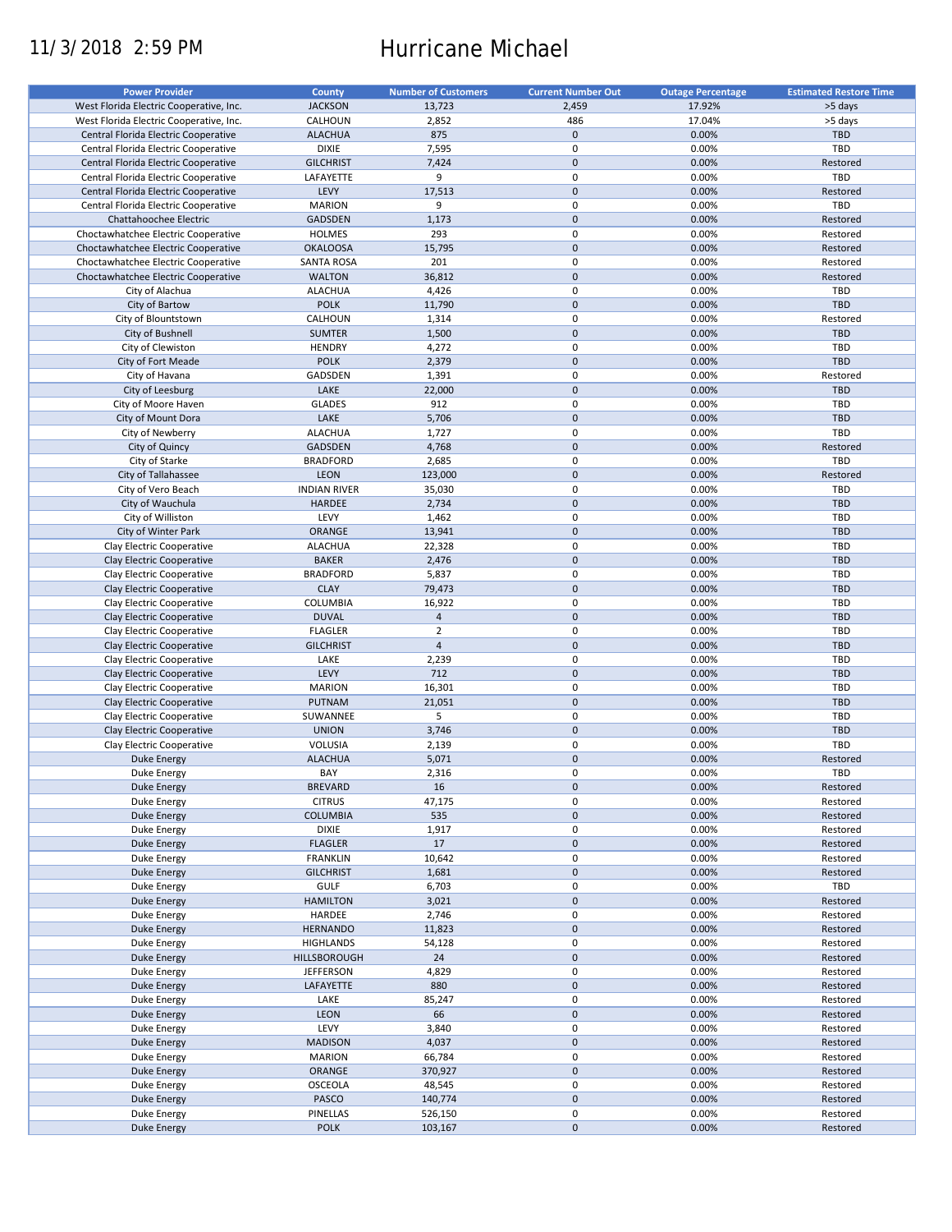# 11/3/2018 2:59 PM Hurricane Michael

| <b>Power Provider</b>                   | <b>County</b>       | <b>Number of Customers</b> | <b>Current Number Out</b> | <b>Outage Percentage</b> | <b>Estimated Restore Time</b> |
|-----------------------------------------|---------------------|----------------------------|---------------------------|--------------------------|-------------------------------|
| West Florida Electric Cooperative, Inc. | <b>JACKSON</b>      | 13,723                     | 2,459                     | 17.92%                   | >5 days                       |
| West Florida Electric Cooperative, Inc. | CALHOUN             | 2,852                      | 486                       | 17.04%                   | >5 days                       |
| Central Florida Electric Cooperative    | <b>ALACHUA</b>      | 875                        | $\mathbf 0$               | 0.00%                    | <b>TBD</b>                    |
|                                         | <b>DIXIE</b>        | 7,595                      | 0                         | 0.00%                    | <b>TBD</b>                    |
| Central Florida Electric Cooperative    | <b>GILCHRIST</b>    |                            | $\mathbf 0$               |                          |                               |
| Central Florida Electric Cooperative    |                     | 7,424                      |                           | 0.00%                    | Restored                      |
| Central Florida Electric Cooperative    | LAFAYETTE           | 9                          | $\mathbf 0$               | 0.00%                    | TBD                           |
| Central Florida Electric Cooperative    | LEVY                | 17,513                     | $\mathbf 0$               | 0.00%                    | Restored                      |
| Central Florida Electric Cooperative    | <b>MARION</b>       | 9                          | 0                         | 0.00%                    | TBD                           |
| Chattahoochee Electric                  | <b>GADSDEN</b>      | 1,173                      | $\mathbf 0$               | 0.00%                    | Restored                      |
| Choctawhatchee Electric Cooperative     | <b>HOLMES</b>       | 293                        | 0                         | 0.00%                    | Restored                      |
| Choctawhatchee Electric Cooperative     | <b>OKALOOSA</b>     | 15,795                     | $\mathbf 0$               | 0.00%                    | Restored                      |
| Choctawhatchee Electric Cooperative     | <b>SANTA ROSA</b>   | 201                        | $\mathbf 0$               | 0.00%                    | Restored                      |
| Choctawhatchee Electric Cooperative     | <b>WALTON</b>       | 36,812                     | $\mathbf 0$               | 0.00%                    | Restored                      |
| City of Alachua                         | <b>ALACHUA</b>      | 4,426                      | $\mathbf 0$               | 0.00%                    | TBD                           |
| City of Bartow                          | <b>POLK</b>         | 11,790                     | $\mathbf 0$               | 0.00%                    | <b>TBD</b>                    |
| City of Blountstown                     | CALHOUN             | 1,314                      | $\mathbf 0$               | 0.00%                    | Restored                      |
| City of Bushnell                        | <b>SUMTER</b>       | 1,500                      | $\mathbf 0$               | 0.00%                    | TBD                           |
| City of Clewiston                       | <b>HENDRY</b>       | 4,272                      | $\mathbf 0$               | 0.00%                    | TBD                           |
| City of Fort Meade                      | <b>POLK</b>         | 2,379                      | $\mathbf 0$               | 0.00%                    | <b>TBD</b>                    |
| City of Havana                          | GADSDEN             | 1,391                      | $\mathbf 0$               | 0.00%                    | Restored                      |
| City of Leesburg                        | LAKE                | 22,000                     | $\mathbf 0$               | 0.00%                    | <b>TBD</b>                    |
| City of Moore Haven                     | <b>GLADES</b>       | 912                        | $\mathbf 0$               | 0.00%                    | TBD                           |
|                                         |                     |                            | $\mathbf 0$               |                          |                               |
| City of Mount Dora                      | LAKE                | 5,706                      |                           | 0.00%                    | TBD                           |
| City of Newberry                        | <b>ALACHUA</b>      | 1,727                      | $\mathbf 0$               | 0.00%                    | <b>TBD</b>                    |
| City of Quincy                          | GADSDEN             | 4,768                      | $\mathbf 0$               | 0.00%                    | Restored                      |
| City of Starke                          | <b>BRADFORD</b>     | 2,685                      | $\mathbf 0$               | 0.00%                    | TBD                           |
| City of Tallahassee                     | LEON                | 123,000                    | $\mathbf 0$               | 0.00%                    | Restored                      |
| City of Vero Beach                      | <b>INDIAN RIVER</b> | 35,030                     | 0                         | 0.00%                    | <b>TBD</b>                    |
| City of Wauchula                        | <b>HARDEE</b>       | 2,734                      | $\mathbf 0$               | 0.00%                    | <b>TBD</b>                    |
| City of Williston                       | LEVY                | 1,462                      | $\mathbf 0$               | 0.00%                    | TBD                           |
| City of Winter Park                     | ORANGE              | 13,941                     | $\mathbf 0$               | 0.00%                    | <b>TBD</b>                    |
| Clay Electric Cooperative               | <b>ALACHUA</b>      | 22,328                     | $\mathbf 0$               | 0.00%                    | TBD                           |
| Clay Electric Cooperative               | <b>BAKER</b>        | 2,476                      | $\mathbf 0$               | 0.00%                    | <b>TBD</b>                    |
| Clay Electric Cooperative               | <b>BRADFORD</b>     | 5,837                      | $\mathbf 0$               | 0.00%                    | TBD                           |
| Clay Electric Cooperative               | <b>CLAY</b>         | 79,473                     | $\mathbf 0$               | 0.00%                    | <b>TBD</b>                    |
| Clay Electric Cooperative               | <b>COLUMBIA</b>     | 16,922                     | 0                         | 0.00%                    | <b>TBD</b>                    |
| Clay Electric Cooperative               | <b>DUVAL</b>        | $\overline{4}$             | $\mathbf 0$               | 0.00%                    | <b>TBD</b>                    |
| Clay Electric Cooperative               | <b>FLAGLER</b>      | $\overline{2}$             | $\pmb{0}$                 | 0.00%                    | TBD                           |
| Clay Electric Cooperative               | <b>GILCHRIST</b>    | $\overline{4}$             | $\mathbf 0$               | 0.00%                    | <b>TBD</b>                    |
| Clay Electric Cooperative               | LAKE                | 2,239                      | 0                         | 0.00%                    | TBD                           |
| Clay Electric Cooperative               | LEVY                | 712                        | $\mathbf 0$               | 0.00%                    | <b>TBD</b>                    |
|                                         | <b>MARION</b>       |                            | $\pmb{0}$                 | 0.00%                    | TBD                           |
| Clay Electric Cooperative               |                     | 16,301                     | $\mathbf 0$               |                          |                               |
| Clay Electric Cooperative               | PUTNAM              | 21,051                     |                           | 0.00%                    | <b>TBD</b>                    |
| Clay Electric Cooperative               | SUWANNEE            | 5                          | $\mathbf 0$               | 0.00%                    | TBD                           |
| Clay Electric Cooperative               | <b>UNION</b>        | 3,746                      | $\mathbf 0$               | 0.00%                    | <b>TBD</b>                    |
| Clay Electric Cooperative               | VOLUSIA             | 2,139                      | 0                         | 0.00%                    | TBD                           |
| <b>Duke Energy</b>                      | <b>ALACHUA</b>      | 5,071                      | $\mathbf 0$               | 0.00%                    | Restored                      |
| Duke Energy                             | BAY                 | 2,316                      | $\mathbf 0$               | 0.00%                    | TBD                           |
| <b>Duke Energy</b>                      | <b>BREVARD</b>      | 16                         | $\pmb{0}$                 | 0.00%                    | Restored                      |
| Duke Energy                             | <b>CITRUS</b>       | 47,175                     | 0                         | 0.00%                    | Restored                      |
| Duke Energy                             | <b>COLUMBIA</b>     | 535                        | $\pmb{0}$                 | 0.00%                    | Restored                      |
| Duke Energy                             | <b>DIXIE</b>        | 1,917                      | 0                         | 0.00%                    | Restored                      |
| Duke Energy                             | <b>FLAGLER</b>      | 17                         | $\pmb{0}$                 | 0.00%                    | Restored                      |
| Duke Energy                             | <b>FRANKLIN</b>     | 10,642                     | 0                         | 0.00%                    | Restored                      |
| Duke Energy                             | <b>GILCHRIST</b>    | 1,681                      | $\pmb{0}$                 | 0.00%                    | Restored                      |
| Duke Energy                             | <b>GULF</b>         | 6,703                      | 0                         | 0.00%                    | TBD                           |
| <b>Duke Energy</b>                      | <b>HAMILTON</b>     | 3,021                      | $\pmb{0}$                 | 0.00%                    | Restored                      |
| Duke Energy                             | HARDEE              | 2,746                      | $\pmb{0}$                 | 0.00%                    | Restored                      |
| <b>Duke Energy</b>                      | <b>HERNANDO</b>     | 11,823                     | $\pmb{0}$                 | 0.00%                    | Restored                      |
|                                         |                     |                            |                           |                          |                               |
| <b>Duke Energy</b>                      | <b>HIGHLANDS</b>    | 54,128                     | $\pmb{0}$                 | 0.00%                    | Restored                      |
| <b>Duke Energy</b>                      | HILLSBOROUGH        | 24                         | $\pmb{0}$                 | 0.00%                    | Restored                      |
| Duke Energy                             | <b>JEFFERSON</b>    | 4,829                      | $\pmb{0}$                 | 0.00%                    | Restored                      |
| <b>Duke Energy</b>                      | LAFAYETTE           | 880                        | $\pmb{0}$                 | 0.00%                    | Restored                      |
| Duke Energy                             | LAKE                | 85,247                     | $\pmb{0}$                 | 0.00%                    | Restored                      |
| <b>Duke Energy</b>                      | LEON                | 66                         | $\pmb{0}$                 | 0.00%                    | Restored                      |
| Duke Energy                             | LEVY                | 3,840                      | $\pmb{0}$                 | 0.00%                    | Restored                      |
| <b>Duke Energy</b>                      | <b>MADISON</b>      | 4,037                      | $\pmb{0}$                 | 0.00%                    | Restored                      |
| Duke Energy                             | <b>MARION</b>       | 66,784                     | 0                         | 0.00%                    | Restored                      |
| <b>Duke Energy</b>                      | ORANGE              | 370,927                    | $\pmb{0}$                 | 0.00%                    | Restored                      |
| Duke Energy                             | <b>OSCEOLA</b>      | 48,545                     | 0                         | 0.00%                    | Restored                      |
| <b>Duke Energy</b>                      | PASCO               | 140,774                    | $\pmb{0}$                 | 0.00%                    | Restored                      |
| Duke Energy                             | PINELLAS            | 526,150                    | 0                         | 0.00%                    | Restored                      |
| <b>Duke Energy</b>                      | <b>POLK</b>         | 103,167                    | $\pmb{0}$                 | 0.00%                    | Restored                      |
|                                         |                     |                            |                           |                          |                               |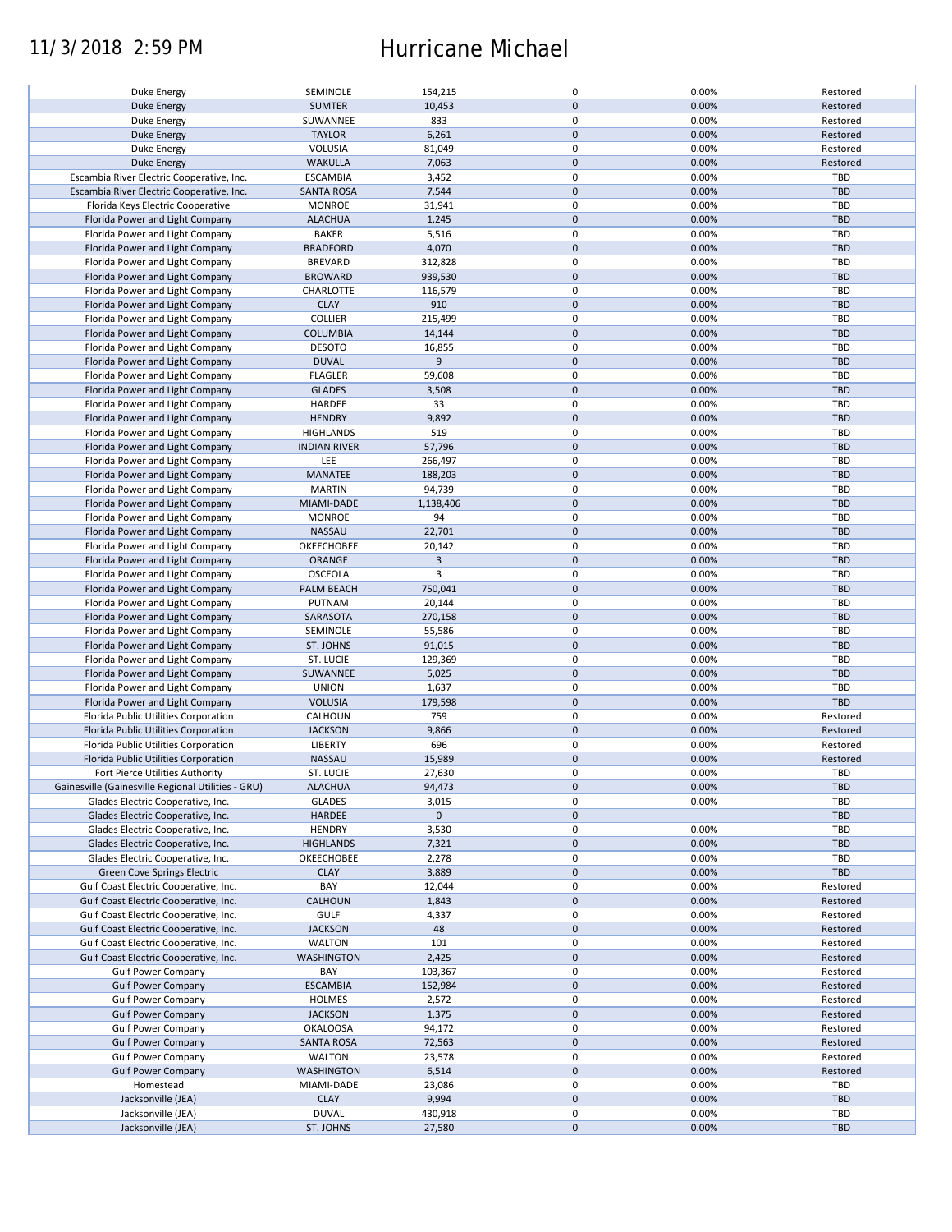## 11/3/2018 2:59 PM Hurricane Michael

| Duke Energy                                        | SEMINOLE            | 154,215     | 0           | 0.00% | Restored   |
|----------------------------------------------------|---------------------|-------------|-------------|-------|------------|
| <b>Duke Energy</b>                                 | <b>SUMTER</b>       | 10,453      | $\pmb{0}$   | 0.00% | Restored   |
| Duke Energy                                        | SUWANNEE            | 833         | 0           | 0.00% | Restored   |
|                                                    |                     |             |             |       |            |
| <b>Duke Energy</b>                                 | <b>TAYLOR</b>       | 6,261       | $\pmb{0}$   | 0.00% | Restored   |
| Duke Energy                                        | VOLUSIA             | 81,049      | $\mathbf 0$ | 0.00% | Restored   |
|                                                    |                     |             |             |       |            |
| Duke Energy                                        | <b>WAKULLA</b>      | 7,063       | $\pmb{0}$   | 0.00% | Restored   |
| Escambia River Electric Cooperative, Inc.          | <b>ESCAMBIA</b>     | 3,452       | $\mathbf 0$ | 0.00% | TBD        |
| Escambia River Electric Cooperative, Inc.          | <b>SANTA ROSA</b>   | 7,544       | $\mathbf 0$ | 0.00% | <b>TBD</b> |
|                                                    |                     |             |             |       |            |
| Florida Keys Electric Cooperative                  | <b>MONROE</b>       | 31,941      | 0           | 0.00% | TBD        |
| Florida Power and Light Company                    | <b>ALACHUA</b>      | 1,245       | $\mathbf 0$ | 0.00% | <b>TBD</b> |
|                                                    |                     |             |             |       |            |
| Florida Power and Light Company                    | <b>BAKER</b>        | 5,516       | $\mathbf 0$ | 0.00% | TBD        |
| Florida Power and Light Company                    | <b>BRADFORD</b>     | 4,070       | $\pmb{0}$   | 0.00% | <b>TBD</b> |
| Florida Power and Light Company                    | <b>BREVARD</b>      | 312,828     | 0           | 0.00% | TBD        |
|                                                    |                     |             |             |       |            |
| Florida Power and Light Company                    | <b>BROWARD</b>      | 939,530     | $\pmb{0}$   | 0.00% | <b>TBD</b> |
| Florida Power and Light Company                    | CHARLOTTE           | 116,579     | 0           | 0.00% | TBD        |
|                                                    |                     |             |             |       |            |
| Florida Power and Light Company                    | <b>CLAY</b>         | 910         | $\pmb{0}$   | 0.00% | <b>TBD</b> |
| Florida Power and Light Company                    | COLLIER             | 215,499     | 0           | 0.00% | TBD        |
| Florida Power and Light Company                    | <b>COLUMBIA</b>     | 14,144      | $\pmb{0}$   | 0.00% | <b>TBD</b> |
|                                                    |                     |             |             |       |            |
| Florida Power and Light Company                    | <b>DESOTO</b>       | 16,855      | 0           | 0.00% | TBD        |
| Florida Power and Light Company                    | <b>DUVAL</b>        | 9           | $\pmb{0}$   | 0.00% | <b>TBD</b> |
|                                                    |                     |             |             |       |            |
| Florida Power and Light Company                    | <b>FLAGLER</b>      | 59,608      | $\pmb{0}$   | 0.00% | <b>TBD</b> |
| Florida Power and Light Company                    | <b>GLADES</b>       | 3,508       | $\pmb{0}$   | 0.00% | <b>TBD</b> |
| Florida Power and Light Company                    | <b>HARDEE</b>       | 33          | $\pmb{0}$   | 0.00% | TBD        |
|                                                    |                     |             |             |       |            |
| Florida Power and Light Company                    | <b>HENDRY</b>       | 9,892       | $\mathbf 0$ | 0.00% | <b>TBD</b> |
| Florida Power and Light Company                    | <b>HIGHLANDS</b>    | 519         | $\mathbf 0$ | 0.00% | <b>TBD</b> |
|                                                    |                     |             |             |       |            |
| Florida Power and Light Company                    | <b>INDIAN RIVER</b> | 57,796      | $\pmb{0}$   | 0.00% | <b>TBD</b> |
| Florida Power and Light Company                    | LEE                 | 266,497     | $\mathbf 0$ | 0.00% | <b>TBD</b> |
| Florida Power and Light Company                    | MANATEE             | 188,203     | $\pmb{0}$   | 0.00% | <b>TBD</b> |
|                                                    |                     |             |             |       |            |
| Florida Power and Light Company                    | <b>MARTIN</b>       | 94,739      | $\mathbf 0$ | 0.00% | <b>TBD</b> |
| Florida Power and Light Company                    | MIAMI-DADE          | 1,138,406   | $\pmb{0}$   | 0.00% | <b>TBD</b> |
|                                                    |                     |             |             |       |            |
| Florida Power and Light Company                    | <b>MONROE</b>       | 94          | $\mathbf 0$ | 0.00% | TBD        |
| Florida Power and Light Company                    | NASSAU              | 22,701      | $\pmb{0}$   | 0.00% | <b>TBD</b> |
| Florida Power and Light Company                    | OKEECHOBEE          | 20,142      | $\mathbf 0$ | 0.00% | TBD        |
|                                                    |                     |             |             |       |            |
| Florida Power and Light Company                    | <b>ORANGE</b>       | 3           | $\mathbf 0$ | 0.00% | <b>TBD</b> |
| Florida Power and Light Company                    | <b>OSCEOLA</b>      | 3           | 0           | 0.00% | TBD        |
|                                                    |                     |             |             |       |            |
| Florida Power and Light Company                    | PALM BEACH          | 750,041     | $\mathbf 0$ | 0.00% | <b>TBD</b> |
| Florida Power and Light Company                    | PUTNAM              | 20,144      | $\mathbf 0$ | 0.00% | <b>TBD</b> |
| Florida Power and Light Company                    | SARASOTA            | 270,158     | $\pmb{0}$   | 0.00% | <b>TBD</b> |
|                                                    |                     |             |             |       |            |
| Florida Power and Light Company                    | SEMINOLE            | 55,586      | 0           | 0.00% | <b>TBD</b> |
| Florida Power and Light Company                    | ST. JOHNS           | 91,015      | $\mathbf 0$ | 0.00% | <b>TBD</b> |
|                                                    |                     |             | 0           | 0.00% | <b>TBD</b> |
| Florida Power and Light Company                    | ST. LUCIE           | 129,369     |             |       |            |
| Florida Power and Light Company                    | SUWANNEE            | 5,025       | $\mathbf 0$ | 0.00% | <b>TBD</b> |
| Florida Power and Light Company                    | <b>UNION</b>        | 1,637       | 0           | 0.00% | TBD        |
|                                                    |                     |             |             |       |            |
| Florida Power and Light Company                    | <b>VOLUSIA</b>      | 179,598     | $\pmb{0}$   | 0.00% | <b>TBD</b> |
| Florida Public Utilities Corporation               | CALHOUN             | 759         | 0           | 0.00% | Restored   |
| Florida Public Utilities Corporation               | <b>JACKSON</b>      | 9,866       | $\mathbf 0$ | 0.00% | Restored   |
|                                                    |                     |             |             |       |            |
| Florida Public Utilities Corporation               | LIBERTY             | 696         | $\pmb{0}$   | 0.00% | Restored   |
| Florida Public Utilities Corporation               | <b>NASSAU</b>       | 15,989      | $\mathbf 0$ | 0.00% | Restored   |
|                                                    |                     |             |             |       |            |
| Fort Pierce Utilities Authority                    | ST. LUCIE           | 27,630      | $\mathbf 0$ | 0.00% | TBD        |
| Gainesville (Gainesville Regional Utilities - GRU) | <b>ALACHUA</b>      | 94,473      | 0           | 0.00% | <b>TBD</b> |
| Glades Electric Cooperative, Inc.                  | <b>GLADES</b>       | 3,015       | 0           | 0.00% | <b>TBD</b> |
|                                                    |                     |             |             |       |            |
| Glades Electric Cooperative, Inc.                  | HARDEE              | $\mathbf 0$ | $\pmb{0}$   |       | <b>TBD</b> |
| Glades Electric Cooperative, Inc.                  | <b>HENDRY</b>       | 3,530       | 0           | 0.00% | <b>TBD</b> |
|                                                    |                     |             |             |       |            |
| Glades Electric Cooperative, Inc.                  | <b>HIGHLANDS</b>    | 7,321       | $\mathbf 0$ | 0.00% | <b>TBD</b> |
| Glades Electric Cooperative, Inc.                  | OKEECHOBEE          | 2,278       | 0           | 0.00% | TBD        |
| Green Cove Springs Electric                        | <b>CLAY</b>         | 3,889       | $\pmb{0}$   | 0.00% | <b>TBD</b> |
|                                                    |                     |             |             |       |            |
| Gulf Coast Electric Cooperative, Inc.              | BAY                 | 12,044      | 0           | 0.00% | Restored   |
| Gulf Coast Electric Cooperative, Inc.              | CALHOUN             | 1,843       | $\pmb{0}$   | 0.00% | Restored   |
| Gulf Coast Electric Cooperative, Inc.              | <b>GULF</b>         | 4,337       | 0           | 0.00% | Restored   |
|                                                    |                     |             |             |       |            |
| Gulf Coast Electric Cooperative, Inc.              | <b>JACKSON</b>      | 48          | $\pmb{0}$   | 0.00% | Restored   |
| Gulf Coast Electric Cooperative, Inc.              | <b>WALTON</b>       | 101         | 0           | 0.00% | Restored   |
|                                                    |                     |             |             |       |            |
| Gulf Coast Electric Cooperative, Inc.              | <b>WASHINGTON</b>   | 2,425       | $\pmb{0}$   | 0.00% | Restored   |
| <b>Gulf Power Company</b>                          | BAY                 | 103,367     | 0           | 0.00% | Restored   |
| <b>Gulf Power Company</b>                          | <b>ESCAMBIA</b>     | 152,984     | $\pmb{0}$   | 0.00% | Restored   |
|                                                    |                     |             |             |       |            |
| <b>Gulf Power Company</b>                          | HOLMES              | 2,572       | 0           | 0.00% | Restored   |
| <b>Gulf Power Company</b>                          | <b>JACKSON</b>      | 1,375       | $\pmb{0}$   | 0.00% | Restored   |
| <b>Gulf Power Company</b>                          | <b>OKALOOSA</b>     | 94,172      | 0           | 0.00% | Restored   |
|                                                    |                     |             |             |       |            |
| <b>Gulf Power Company</b>                          | SANTA ROSA          | 72,563      | $\pmb{0}$   | 0.00% | Restored   |
| <b>Gulf Power Company</b>                          | <b>WALTON</b>       | 23,578      | 0           | 0.00% | Restored   |
|                                                    |                     |             |             |       |            |
| <b>Gulf Power Company</b>                          | WASHINGTON          | 6,514       | $\pmb{0}$   | 0.00% | Restored   |
| Homestead                                          | MIAMI-DADE          | 23,086      | 0           | 0.00% | TBD        |
| Jacksonville (JEA)                                 | <b>CLAY</b>         | 9,994       | $\pmb{0}$   | 0.00% | <b>TBD</b> |
|                                                    |                     |             |             |       |            |
| Jacksonville (JEA)                                 | <b>DUVAL</b>        | 430,918     | 0           | 0.00% | TBD        |
| Jacksonville (JEA)                                 | ST. JOHNS           | 27,580      | $\pmb{0}$   | 0.00% | <b>TBD</b> |
|                                                    |                     |             |             |       |            |